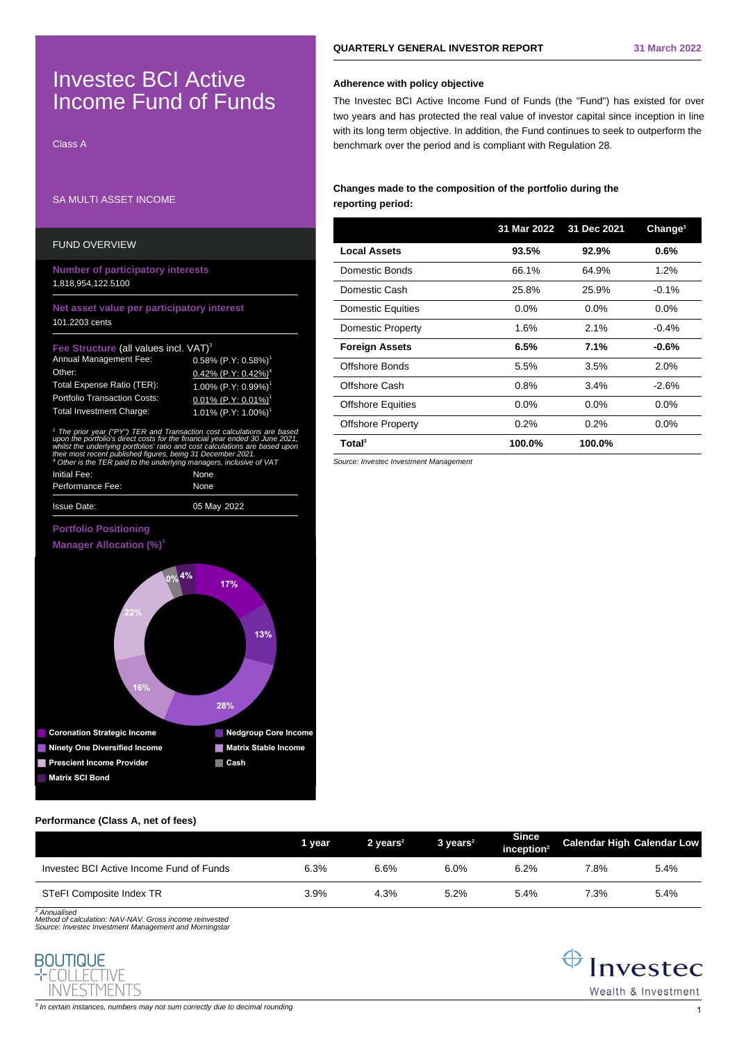# Investec BCI Active Income Fund of Funds

Class A

# SA MULTI ASSET INCOME

| <b>FUND OVERVIEW</b>                                                                                                                                                                                                                                                                                                                                                                                  |                                                                                                                                                                                            |  |  |  |  |
|-------------------------------------------------------------------------------------------------------------------------------------------------------------------------------------------------------------------------------------------------------------------------------------------------------------------------------------------------------------------------------------------------------|--------------------------------------------------------------------------------------------------------------------------------------------------------------------------------------------|--|--|--|--|
| <b>Number of participatory interests</b><br>1,818,954,122.5100                                                                                                                                                                                                                                                                                                                                        |                                                                                                                                                                                            |  |  |  |  |
| Net asset value per participatory interest<br>101.2203 cents                                                                                                                                                                                                                                                                                                                                          |                                                                                                                                                                                            |  |  |  |  |
| Fee Structure (all values incl. VAT) <sup>3</sup><br><b>Annual Management Fee:</b><br>Other:<br>Total Expense Ratio (TER):<br><b>Portfolio Transaction Costs:</b><br><b>Total Investment Charge:</b>                                                                                                                                                                                                  | $0.58\%$ (P.Y: 0.58%) <sup>1</sup><br>0.42% (P.Y: $0.42\%$ ) <sup>4</sup><br>1.00% $(P.Y: 0.99%)$ <sup>1</sup><br>$0.01\%$ (P.Y: 0.01%) <sup>1</sup><br>1.01% $(P.Y: 1.00\%)$ <sup>1</sup> |  |  |  |  |
| <sup>1</sup> The prior year ("PY") TER and Transaction cost calculations are based<br>upon the portfolio's direct costs for the financial year ended 30 June 2021,<br>whilst the underlying portfolios' ratio and cost calculations are based upor<br>their most recent published figures, being 31 December 2021.<br><sup>4</sup> Other is the TER paid to the underlying managers, inclusive of VAT |                                                                                                                                                                                            |  |  |  |  |

| <b>Issue Date:</b>                                         | 05 May 2022 |  |  |  |
|------------------------------------------------------------|-------------|--|--|--|
| Performance Fee:                                           | None        |  |  |  |
| Initial Fee:                                               | None        |  |  |  |
| part to a relate to and and any managere, molderto or with |             |  |  |  |

## **Portfolio Positioning**





## **Performance (Class A, net of fees)**

|                                          | 1 vear | 2 vears $2$ | $3 \text{ years}^2$ | <b>Since</b><br>inception $2$ | <b>Calendar High Calendar Low</b> |      |
|------------------------------------------|--------|-------------|---------------------|-------------------------------|-----------------------------------|------|
| Investec BCI Active Income Fund of Funds | 6.3%   | 6.6%        | 6.0%                | 6.2%                          | 7.8%                              | 5.4% |
| STeFI Composite Index TR                 | 3.9%   | 4.3%        | 5.2%                | 5.4%                          | 7.3%                              | 5.4% |

2 Annualised Method of calculation: NAV-NAV. Gross income reinvested Source: Investec Investment Management and Morningstar



## **Adherence with policy objective**

The Investec BCI Active Income Fund of Funds (the "Fund") has existed for over two years and has protected the real value of investor capital since inception in line with its long term objective. In addition, the Fund continues to seek to outperform the benchmark over the period and is compliant with Regulation 28.

# **Changes made to the composition of the portfolio during the reporting period:**

|                          | 31 Mar 2022 | 31 Dec 2021 | Change <sup>3</sup> |
|--------------------------|-------------|-------------|---------------------|
| <b>Local Assets</b>      | 93.5%       | 92.9%       | 0.6%                |
| Domestic Bonds           | 66.1%       | 64.9%       | 1.2%                |
| Domestic Cash            | 25.8%       | 25.9%       | $-0.1%$             |
| <b>Domestic Equities</b> | $0.0\%$     | $0.0\%$     | $0.0\%$             |
| Domestic Property        | 1.6%        | 2.1%        | $-0.4%$             |
| <b>Foreign Assets</b>    | 6.5%        | 7.1%        | $-0.6%$             |
| Offshore Bonds           | 5.5%        | 3.5%        | 2.0%                |
| Offshore Cash            | 0.8%        | 3.4%        | $-2.6%$             |
| <b>Offshore Equities</b> | 0.0%        | $0.0\%$     | $0.0\%$             |
| <b>Offshore Property</b> | 0.2%        | 0.2%        | $0.0\%$             |
| Total <sup>3</sup>       | 100.0%      | 100.0%      |                     |

Source: Investec Investment Management

 $\bigoplus$  Investec Wealth & Investment